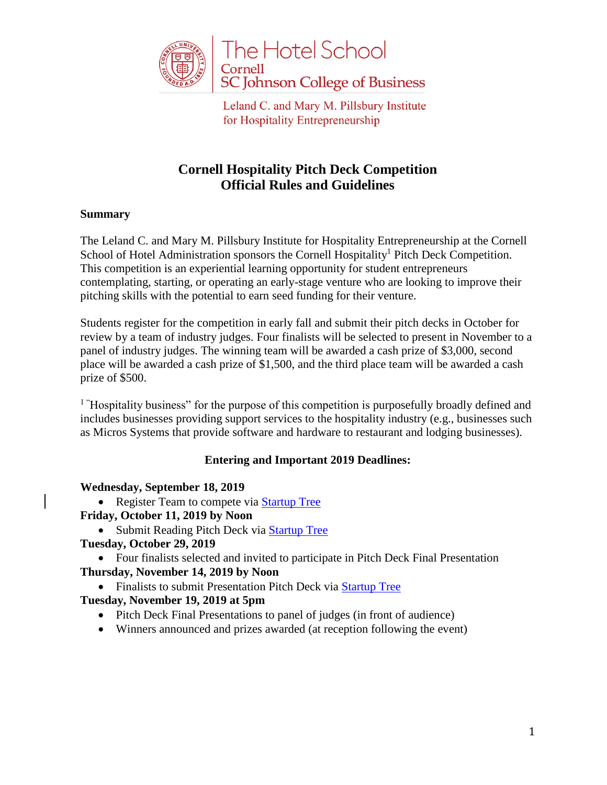

# **Cornell Hospitality Pitch Deck Competition Official Rules and Guidelines**

## **Summary**

The Leland C. and Mary M. Pillsbury Institute for Hospitality Entrepreneurship at the Cornell School of Hotel Administration sponsors the Cornell Hospitality<sup>1</sup> Pitch Deck Competition. This competition is an experiential learning opportunity for student entrepreneurs contemplating, starting, or operating an early-stage venture who are looking to improve their pitching skills with the potential to earn seed funding for their venture.

Students register for the competition in early fall and submit their pitch decks in October for review by a team of industry judges. Four finalists will be selected to present in November to a panel of industry judges. The winning team will be awarded a cash prize of \$3,000, second place will be awarded a cash prize of \$1,500, and the third place team will be awarded a cash prize of \$500.

<sup>1</sup> "Hospitality business" for the purpose of this competition is purposefully broadly defined and includes businesses providing support services to the hospitality industry (e.g., businesses such as Micros Systems that provide software and hardware to restaurant and lodging businesses).

#### **Entering and Important 2019 Deadlines:**

#### **Wednesday, September 18, 2019**

• Register Team to compete via [Startup Tree](https://cornell.startuptree.co/event/acf12964-0af7-4d6b-9e50-7599ef2fef73)

#### **Friday, October 11, 2019 by Noon**

• Submit Reading Pitch Deck via [Startup Tree](https://cornell.startuptree.co/event/acf12964-0af7-4d6b-9e50-7599ef2fef73)

#### **Tuesday, October 29, 2019**

 Four finalists selected and invited to participate in Pitch Deck Final Presentation **Thursday, November 14, 2019 by Noon**

• Finalists to submit Presentation Pitch Deck via [Startup Tree](https://cornell.startuptree.co/event/acf12964-0af7-4d6b-9e50-7599ef2fef73)

## **Tuesday, November 19, 2019 at 5pm**

- Pitch Deck Final Presentations to panel of judges (in front of audience)
- Winners announced and prizes awarded (at reception following the event)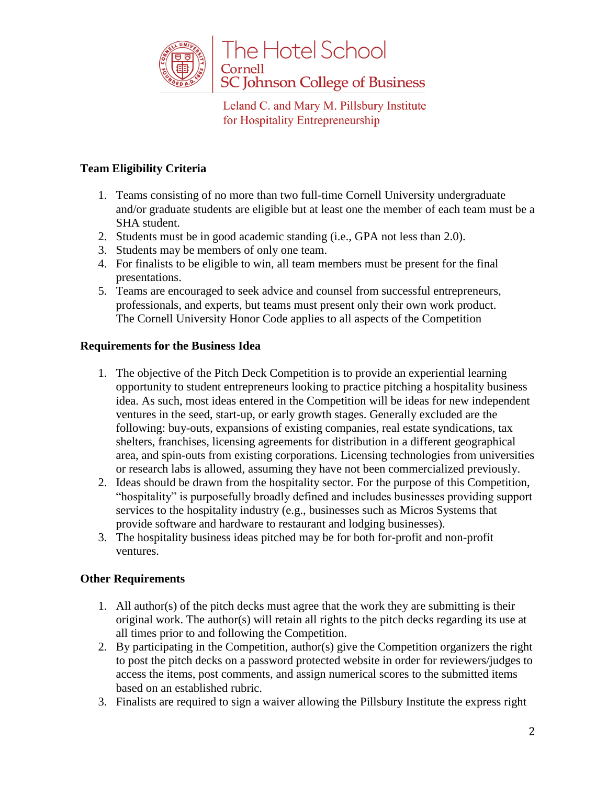

## **Team Eligibility Criteria**

- 1. Teams consisting of no more than two full-time Cornell University undergraduate and/or graduate students are eligible but at least one the member of each team must be a SHA student.
- 2. Students must be in good academic standing (i.e., GPA not less than 2.0).
- 3. Students may be members of only one team.
- 4. For finalists to be eligible to win, all team members must be present for the final presentations.
- 5. Teams are encouraged to seek advice and counsel from successful entrepreneurs, professionals, and experts, but teams must present only their own work product. The Cornell University Honor Code applies to all aspects of the Competition

## **Requirements for the Business Idea**

- 1. The objective of the Pitch Deck Competition is to provide an experiential learning opportunity to student entrepreneurs looking to practice pitching a hospitality business idea. As such, most ideas entered in the Competition will be ideas for new independent ventures in the seed, start-up, or early growth stages. Generally excluded are the following: buy-outs, expansions of existing companies, real estate syndications, tax shelters, franchises, licensing agreements for distribution in a different geographical area, and spin-outs from existing corporations. Licensing technologies from universities or research labs is allowed, assuming they have not been commercialized previously.
- 2. Ideas should be drawn from the hospitality sector. For the purpose of this Competition, "hospitality" is purposefully broadly defined and includes businesses providing support services to the hospitality industry (e.g., businesses such as Micros Systems that provide software and hardware to restaurant and lodging businesses).
- 3. The hospitality business ideas pitched may be for both for-profit and non-profit ventures.

#### **Other Requirements**

- 1. All author(s) of the pitch decks must agree that the work they are submitting is their original work. The author(s) will retain all rights to the pitch decks regarding its use at all times prior to and following the Competition.
- 2. By participating in the Competition, author(s) give the Competition organizers the right to post the pitch decks on a password protected website in order for reviewers/judges to access the items, post comments, and assign numerical scores to the submitted items based on an established rubric.
- 3. Finalists are required to sign a waiver allowing the Pillsbury Institute the express right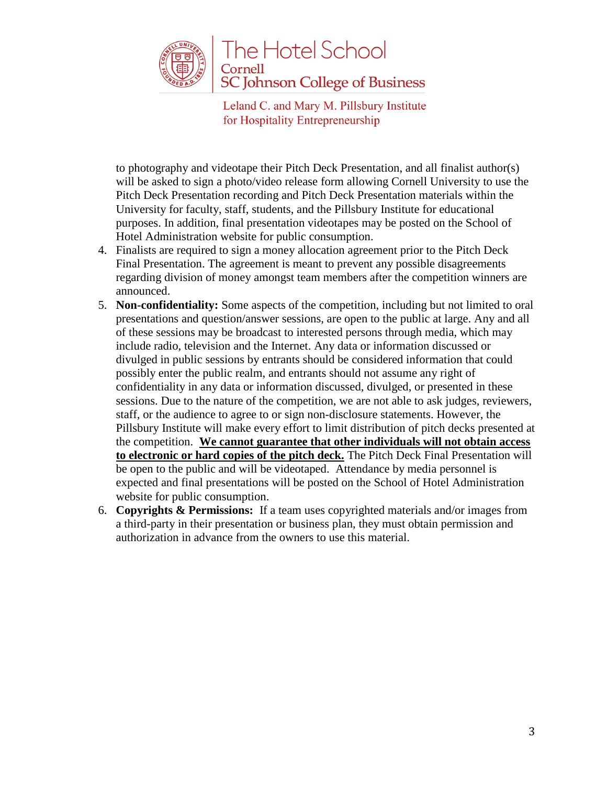

to photography and videotape their Pitch Deck Presentation, and all finalist author(s) will be asked to sign a photo/video release form allowing Cornell University to use the Pitch Deck Presentation recording and Pitch Deck Presentation materials within the University for faculty, staff, students, and the Pillsbury Institute for educational purposes. In addition, final presentation videotapes may be posted on the School of Hotel Administration website for public consumption.

- 4. Finalists are required to sign a money allocation agreement prior to the Pitch Deck Final Presentation. The agreement is meant to prevent any possible disagreements regarding division of money amongst team members after the competition winners are announced.
- 5. **Non-confidentiality:** Some aspects of the competition, including but not limited to oral presentations and question/answer sessions, are open to the public at large. Any and all of these sessions may be broadcast to interested persons through media, which may include radio, television and the Internet. Any data or information discussed or divulged in public sessions by entrants should be considered information that could possibly enter the public realm, and entrants should not assume any right of confidentiality in any data or information discussed, divulged, or presented in these sessions. Due to the nature of the competition, we are not able to ask judges, reviewers, staff, or the audience to agree to or sign non-disclosure statements. However, the Pillsbury Institute will make every effort to limit distribution of pitch decks presented at the competition. **We cannot guarantee that other individuals will not obtain access to electronic or hard copies of the pitch deck.** The Pitch Deck Final Presentation will be open to the public and will be videotaped. Attendance by media personnel is expected and final presentations will be posted on the School of Hotel Administration website for public consumption.
- 6. **Copyrights & Permissions:** If a team uses copyrighted materials and/or images from a third-party in their presentation or business plan, they must obtain permission and authorization in advance from the owners to use this material.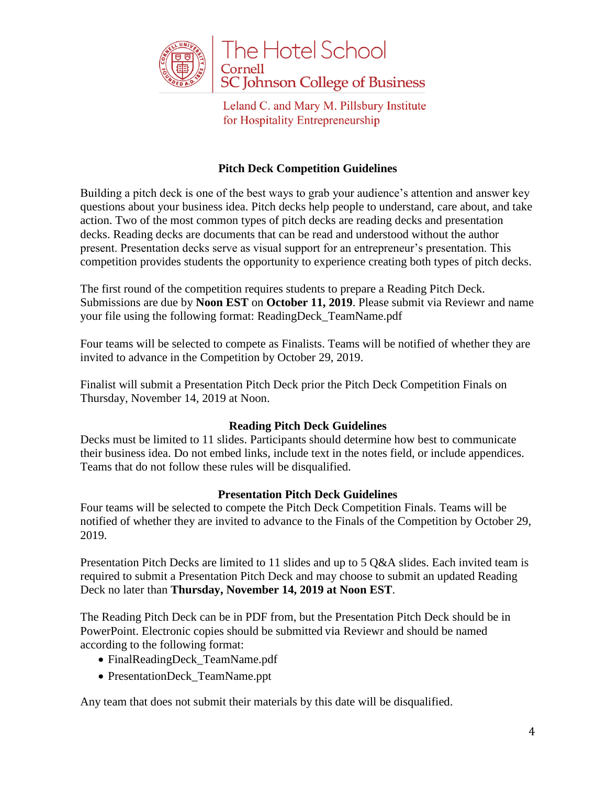

#### **Pitch Deck Competition Guidelines**

Building a pitch deck is one of the best ways to grab your audience's attention and answer key questions about your business idea. Pitch decks help people to understand, care about, and take action. Two of the most common types of pitch decks are reading decks and presentation decks. Reading decks are documents that can be read and understood without the author present. Presentation decks serve as visual support for an entrepreneur's presentation. This competition provides students the opportunity to experience creating both types of pitch decks.

The first round of the competition requires students to prepare a Reading Pitch Deck. Submissions are due by **Noon EST** on **October 11, 2019**. Please submit via Reviewr and name your file using the following format: ReadingDeck\_TeamName.pdf

Four teams will be selected to compete as Finalists. Teams will be notified of whether they are invited to advance in the Competition by October 29, 2019.

Finalist will submit a Presentation Pitch Deck prior the Pitch Deck Competition Finals on Thursday, November 14, 2019 at Noon.

#### **Reading Pitch Deck Guidelines**

Decks must be limited to 11 slides. Participants should determine how best to communicate their business idea. Do not embed links, include text in the notes field, or include appendices. Teams that do not follow these rules will be disqualified.

#### **Presentation Pitch Deck Guidelines**

Four teams will be selected to compete the Pitch Deck Competition Finals. Teams will be notified of whether they are invited to advance to the Finals of the Competition by October 29, 2019.

Presentation Pitch Decks are limited to 11 slides and up to 5 Q&A slides. Each invited team is required to submit a Presentation Pitch Deck and may choose to submit an updated Reading Deck no later than **Thursday, November 14, 2019 at Noon EST**.

The Reading Pitch Deck can be in PDF from, but the Presentation Pitch Deck should be in PowerPoint. Electronic copies should be submitted via Reviewr and should be named according to the following format:

- FinalReadingDeck\_TeamName.pdf
- PresentationDeck\_TeamName.ppt

Any team that does not submit their materials by this date will be disqualified.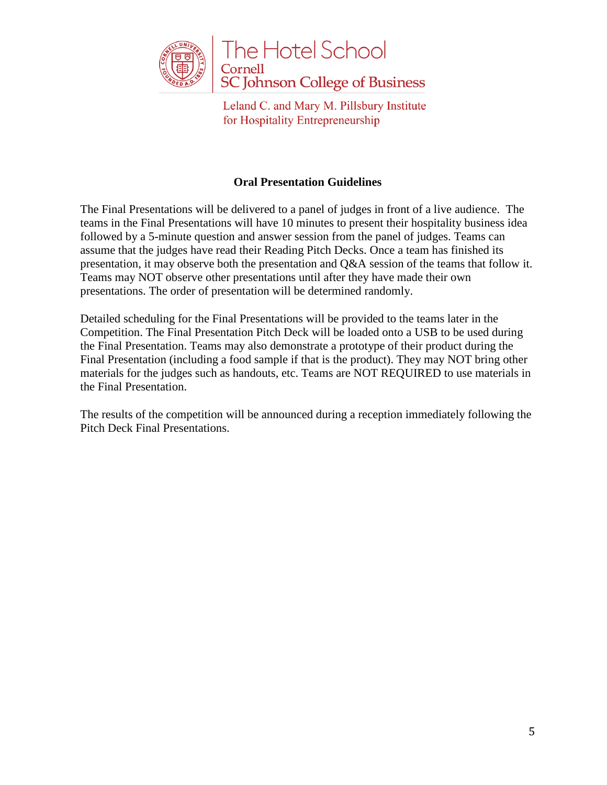

## **Oral Presentation Guidelines**

The Final Presentations will be delivered to a panel of judges in front of a live audience. The teams in the Final Presentations will have 10 minutes to present their hospitality business idea followed by a 5-minute question and answer session from the panel of judges. Teams can assume that the judges have read their Reading Pitch Decks. Once a team has finished its presentation, it may observe both the presentation and Q&A session of the teams that follow it. Teams may NOT observe other presentations until after they have made their own presentations. The order of presentation will be determined randomly.

Detailed scheduling for the Final Presentations will be provided to the teams later in the Competition. The Final Presentation Pitch Deck will be loaded onto a USB to be used during the Final Presentation. Teams may also demonstrate a prototype of their product during the Final Presentation (including a food sample if that is the product). They may NOT bring other materials for the judges such as handouts, etc. Teams are NOT REQUIRED to use materials in the Final Presentation.

The results of the competition will be announced during a reception immediately following the Pitch Deck Final Presentations.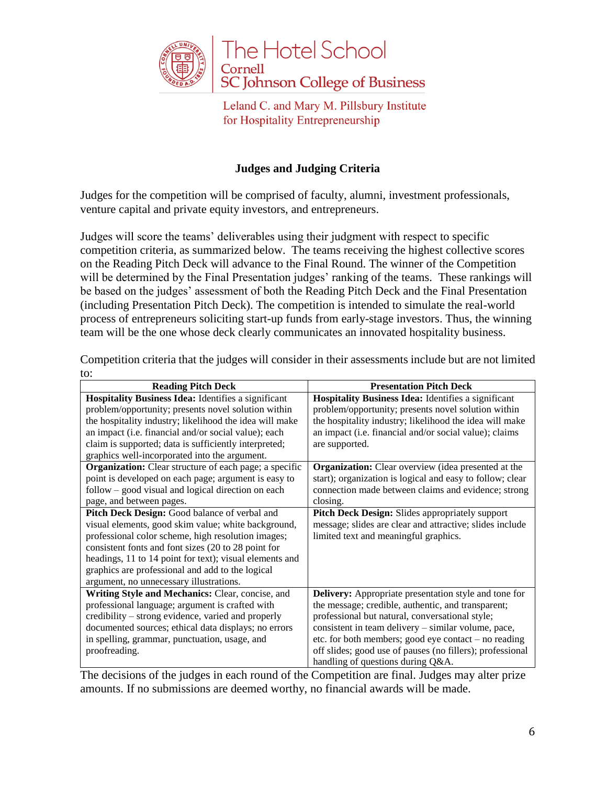

## **Judges and Judging Criteria**

Judges for the competition will be comprised of faculty, alumni, investment professionals, venture capital and private equity investors, and entrepreneurs.

Judges will score the teams' deliverables using their judgment with respect to specific competition criteria, as summarized below. The teams receiving the highest collective scores on the Reading Pitch Deck will advance to the Final Round. The winner of the Competition will be determined by the Final Presentation judges' ranking of the teams. These rankings will be based on the judges' assessment of both the Reading Pitch Deck and the Final Presentation (including Presentation Pitch Deck). The competition is intended to simulate the real-world process of entrepreneurs soliciting start-up funds from early-stage investors. Thus, the winning team will be the one whose deck clearly communicates an innovated hospitality business.

| <b>Reading Pitch Deck</b>                                     | <b>Presentation Pitch Deck</b>                               |
|---------------------------------------------------------------|--------------------------------------------------------------|
| <b>Hospitality Business Idea:</b> Identifies a significant    | <b>Hospitality Business Idea:</b> Identifies a significant   |
| problem/opportunity; presents novel solution within           | problem/opportunity; presents novel solution within          |
| the hospitality industry; likelihood the idea will make       | the hospitality industry; likelihood the idea will make      |
| an impact (i.e. financial and/or social value); each          | an impact (i.e. financial and/or social value); claims       |
| claim is supported; data is sufficiently interpreted;         | are supported.                                               |
| graphics well-incorporated into the argument.                 |                                                              |
| <b>Organization:</b> Clear structure of each page; a specific | <b>Organization:</b> Clear overview (idea presented at the   |
| point is developed on each page; argument is easy to          | start); organization is logical and easy to follow; clear    |
| $follow - good visual and logical direction on each$          | connection made between claims and evidence; strong          |
| page, and between pages.                                      | closing.                                                     |
| Pitch Deck Design: Good balance of verbal and                 | Pitch Deck Design: Slides appropriately support              |
| visual elements, good skim value; white background,           | message; slides are clear and attractive; slides include     |
| professional color scheme, high resolution images;            | limited text and meaningful graphics.                        |
| consistent fonts and font sizes (20 to 28 point for           |                                                              |
| headings, 11 to 14 point for text); visual elements and       |                                                              |
| graphics are professional and add to the logical              |                                                              |
| argument, no unnecessary illustrations.                       |                                                              |
| Writing Style and Mechanics: Clear, concise, and              | <b>Delivery:</b> Appropriate presentation style and tone for |
| professional language; argument is crafted with               | the message; credible, authentic, and transparent;           |
| credibility – strong evidence, varied and properly            | professional but natural, conversational style;              |
| documented sources; ethical data displays; no errors          | consistent in team delivery – similar volume, pace,          |
| in spelling, grammar, punctuation, usage, and                 | etc. for both members; good eye contact – no reading         |
| proofreading.                                                 | off slides; good use of pauses (no fillers); professional    |
|                                                               | handling of questions during Q&A.                            |

Competition criteria that the judges will consider in their assessments include but are not limited to:

The decisions of the judges in each round of the Competition are final. Judges may alter prize amounts. If no submissions are deemed worthy, no financial awards will be made.